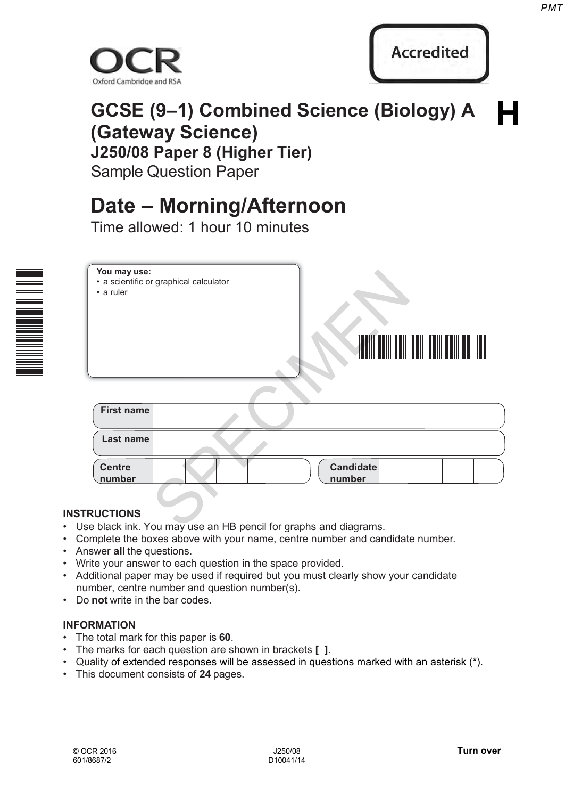



#### **GCSE (9–1) Combined Science (Biology) A (Gateway Science) J250/08 Paper 8 (Higher Tier)**  Sample Question Paper **H**

### **Date – Morning/Afternoon**

Time allowed: 1 hour 10 minutes



# **You may use:** • a scientific or graphical calculator • a ruler \* 0 0 0 0 0 0 \* **Recordited**<br>
(9–1) Combined Science (Biology) A<br>
Paper 8 (Higher Tier)<br>
Question Paper<br>
- Morning/Afternoon<br>
wed: 1 hour 10 minutes<br>
Franchisal calculator<br>
Paper Comparison and discreted<br>
Represented a Higher Comparison a

| First name              |                     |  |
|-------------------------|---------------------|--|
| Last name               |                     |  |
| <b>Centre</b><br>number | Candidate<br>number |  |

#### **INSTRUCTIONS**

- Use black ink. You may use an HB pencil for graphs and diagrams.
- Complete the boxes above with your name, centre number and candidate number.
- Answer **all** the questions.
- Write your answer to each question in the space provided.
- Additional paper may be used if required but you must clearly show your candidate number, centre number and question number(s).
- Do **not** write in the bar codes.

#### **INFORMATION**

- The total mark for this paper is **60**.
- The marks for each question are shown in brackets **[ ]**.
- Quality of extended responses will be assessed in questions marked with an asterisk (\*).
- This document consists of **24** pages.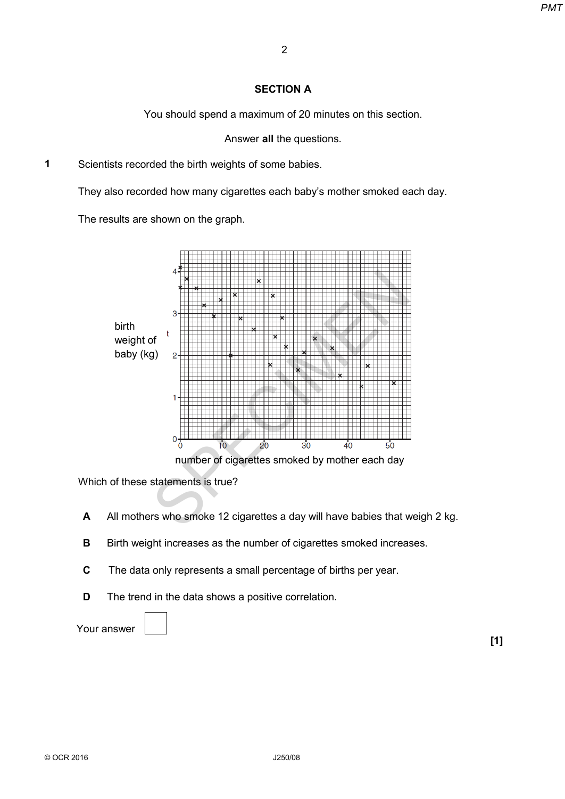#### **SECTION A**

You should spend a maximum of 20 minutes on this section.

Answer **all** the questions.

**1** Scientists recorded the birth weights of some babies.

They also recorded how many cigarettes each baby's mother smoked each day.

The results are shown on the graph.



Which of these statements is true?

- **A** All mothers who smoke 12 cigarettes a day will have babies that weigh 2 kg.
- **B** Birth weight increases as the number of cigarettes smoked increases.
- **C** The data only represents a small percentage of births per year.
- **D** The trend in the data shows a positive correlation.

Your answer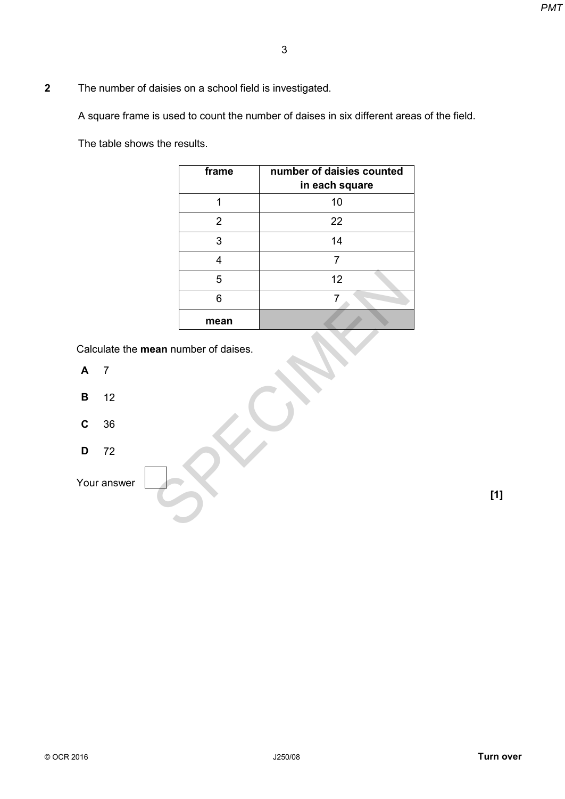**2** The number of daisies on a school field is investigated.

A square frame is used to count the number of daises in six different areas of the field.

The table shows the results.

|                                            |                                                                            | PM <sub>1</sub> |
|--------------------------------------------|----------------------------------------------------------------------------|-----------------|
|                                            | $\sqrt{3}$                                                                 |                 |
| daisies on a school field is investigated. |                                                                            |                 |
|                                            | is used to count the number of daises in six different areas of the field. |                 |
| s the results.                             |                                                                            |                 |
| frame                                      | number of daisies counted<br>in each square                                |                 |
| $\mathbf 1$                                | $10$                                                                       |                 |
| $\overline{2}$                             | 22                                                                         |                 |
| $\mathfrak{S}$                             | 14                                                                         |                 |
| $\overline{\mathbf{4}}$                    | $\overline{7}$                                                             |                 |
| 5                                          | 12                                                                         |                 |
| $\,6$                                      | 7                                                                          |                 |
| mean                                       |                                                                            |                 |
| ean number of daises.                      |                                                                            |                 |
|                                            |                                                                            |                 |
|                                            |                                                                            |                 |
|                                            |                                                                            |                 |
|                                            |                                                                            |                 |
|                                            |                                                                            | $[1]$           |
|                                            |                                                                            |                 |
|                                            |                                                                            |                 |

Calculate the **mean** number of daises.

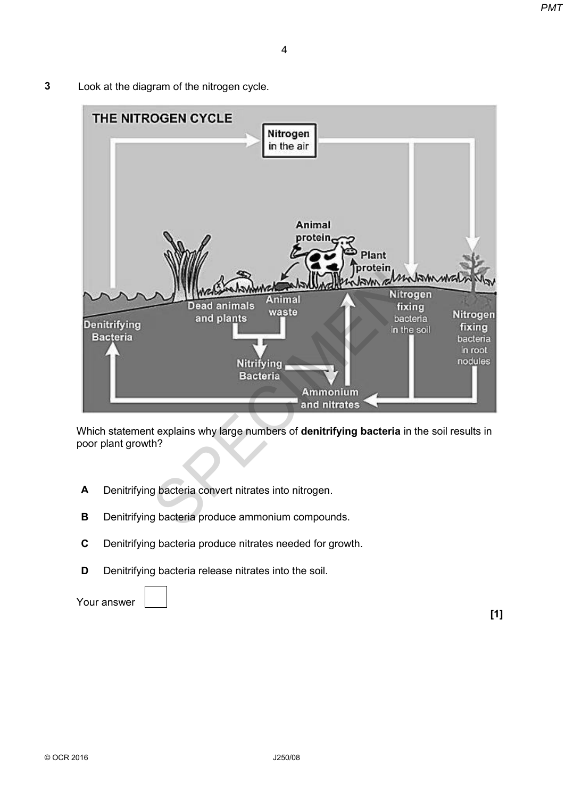**3** Look at the diagram of the nitrogen cycle.



Which statement explains why large numbers of **denitrifying bacteria** in the soil results in poor plant growth?

- **A** Denitrifying bacteria convert nitrates into nitrogen.
- **B** Denitrifying bacteria produce ammonium compounds.
- **C** Denitrifying bacteria produce nitrates needed for growth.
- **D** Denitrifying bacteria release nitrates into the soil.

Your answer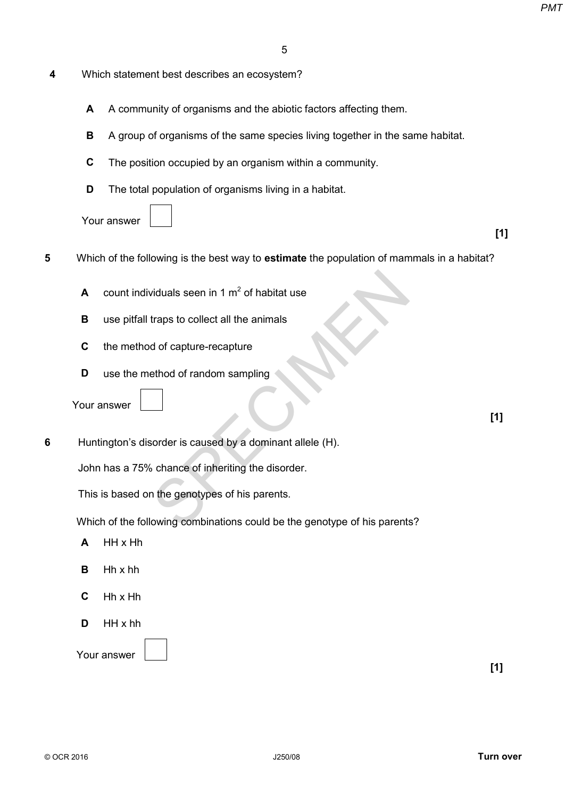| 4 | Which statement best describes an ecosystem? |
|---|----------------------------------------------|
|---|----------------------------------------------|

- **A** A community of organisms and the abiotic factors affecting them.
- **B** A group of organisms of the same species living together in the same habitat.
- **C** The position occupied by an organism within a community.
- **D** The total population of organisms living in a habitat.
- Your answer
- **5** Which of the following is the best way to **estimate** the population of mammals in a habitat? PMT<br>
In the describes an ecosystem?<br>
In the describes and the abiotic factors affecting them.<br>
In the same species living together in the same habitat.<br>
It occupied by an organisms living in a habitat.<br>
IT powing is the be
	- **A** count individuals seen in 1  $m^2$  of habitat use
	- **B** use pitfall traps to collect all the animals
	- **C** the method of capture-recapture
	- **D** use the method of random sampling

Your answer

**6** Huntington's disorder is caused by a dominant allele (H).

John has a 75% chance of inheriting the disorder.

This is based on the genotypes of his parents.

Which of the following combinations could be the genotype of his parents?

- **A** HH x Hh
- **B** Hh x hh
- **C** Hh x Hh
- **D** HH x hh

**[1]**

**[1]**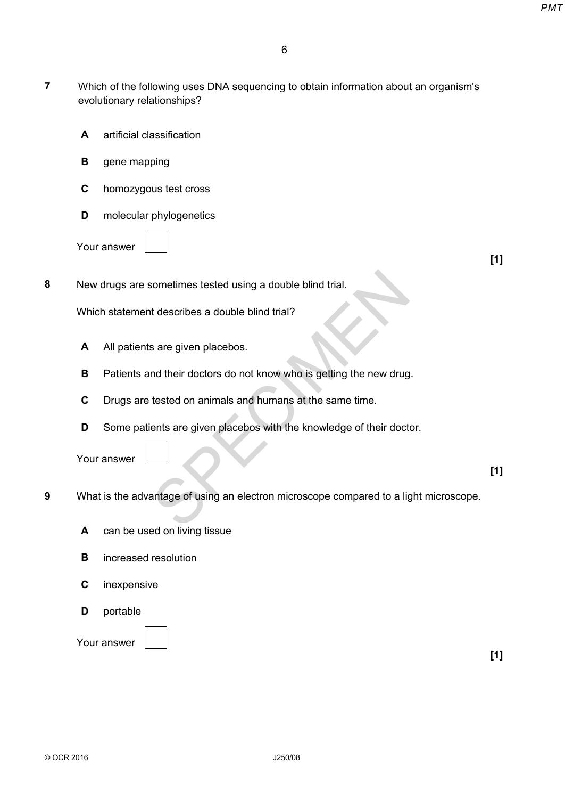- **7** Which of the following uses DNA sequencing to obtain information about an organism's evolutionary relationships? PMT<br>
6<br>
Iowing uses DNA sequencing to obtain information about an organism's<br>
assification<br>
pring<br>
us test cross<br>
phylogenetics<br> **Phylogenetics**<br> **PMT**<br>
sometimes tested using a double blind trial.<br> **F11**<br>
sometimes tested
	- **A** artificial classification
	- **B** gene mapping
	- **C** homozygous test cross
	- **D** molecular phylogenetics

Your answer

**[1]**

**8** New drugs are sometimes tested using a double blind trial.

Which statement describes a double blind trial?

- **A** All patients are given placebos.
- **B** Patients and their doctors do not know who is getting the new drug.
- **C** Drugs are tested on animals and humans at the same time.
- **D** Some patients are given placebos with the knowledge of their doctor.

Your answer

**[1]**

- **9** What is the advantage of using an electron microscope compared to a light microscope.
	- **A** can be used on living tissue
	- **B** increased resolution
	- **C** inexpensive
	- **D** portable

#### Your answer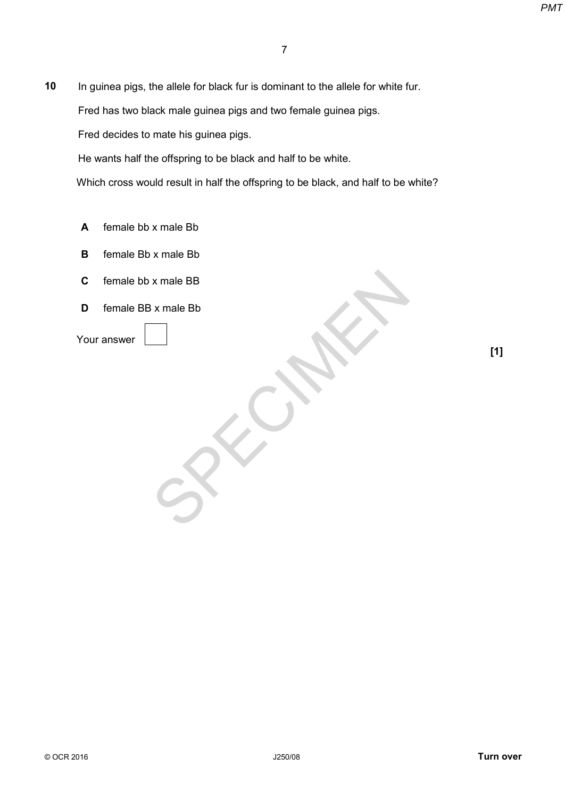**10** In guinea pigs, the allele for black fur is dominant to the allele for white fur. PMT<br>
The allele for black fur is dominant to the allele for white fur.<br>
ack male guinea pigs and two female guinea pigs.<br>
mate his guinea pigs.<br>
are offspring to be black and half to be white.<br>
X male Bb<br>
X male BB<br>
X male

Fred has two black male guinea pigs and two female guinea pigs.

Fred decides to mate his guinea pigs.

He wants half the offspring to be black and half to be white.

Which cross would result in half the offspring to be black, and half to be white?

- **A** female bb x male Bb
- **B** female Bb x male Bb
- **C** female bb x male BB
- **D** female BB x male Bb

Your answer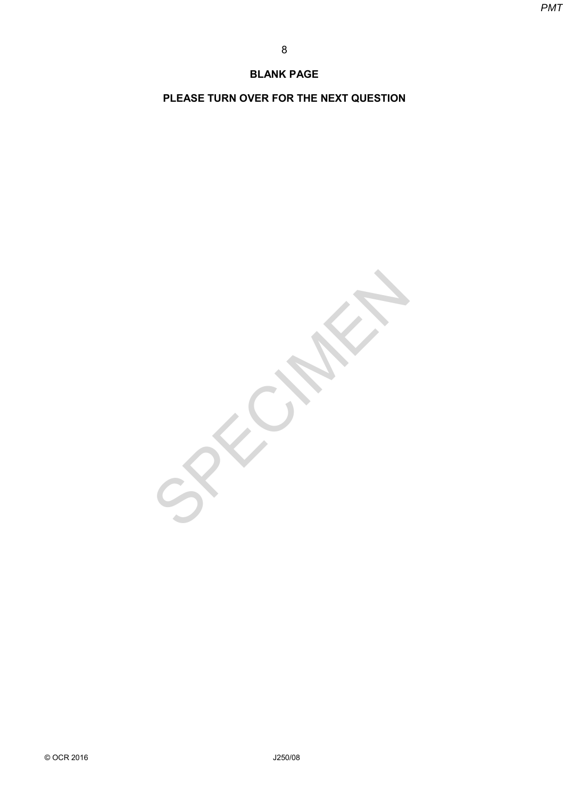#### **BLANK PAGE**

**PLEASE TURN OVER FOR THE NEXT QUESTION**

BLANK PAGE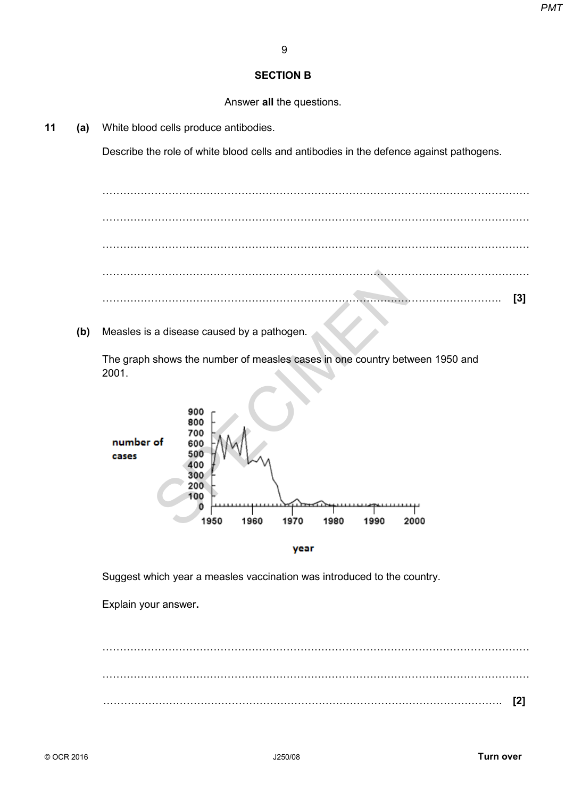#### **SECTION B**

Answer **all** the questions.

**11 (a)** White blood cells produce antibodies.

Describe the role of white blood cells and antibodies in the defence against pathogens.

…………………………………………………………………………………………………………… …………………………………………………………………………………………………………… …………………………………………………………………………………………………………… …………………………………………………………………………………………………………… ……………………………………………………………………………………………………. **[3]** SPECIMEN *PMT*

**(b)** Measles is a disease caused by a pathogen.

The graph shows the number of measles cases in one country between 1950 and 2001.



year

Suggest which year a measles vaccination was introduced to the country.

Explain your answer**.**

…………………………………………………………………………………………………………… . The contract of the contract of the contract of the contract of the contract of the contract of the contract of the contract of the contract of the contract of the contract of the contract of the contract of the contrac ……………………………………………………………………………………………………. **[2]**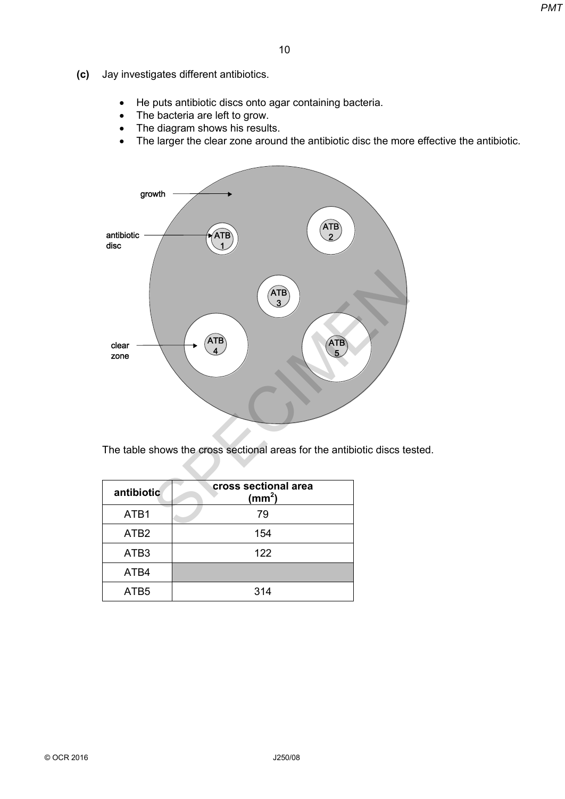- **(c)** Jay investigates different antibiotics.
	- He puts antibiotic discs onto agar containing bacteria.
	- The bacteria are left to grow.
	- The diagram shows his results.
	- The larger the clear zone around the antibiotic disc the more effective the antibiotic.



The table shows the cross sectional areas for the antibiotic discs tested.

| antibiotic       | cross sectional area<br>(mm <sup>2</sup> ) |
|------------------|--------------------------------------------|
| ATB <sub>1</sub> | 79                                         |
| ATB <sub>2</sub> | 154                                        |
| ATB <sub>3</sub> | 122                                        |
| ATB4             |                                            |
| ATB <sub>5</sub> | 314                                        |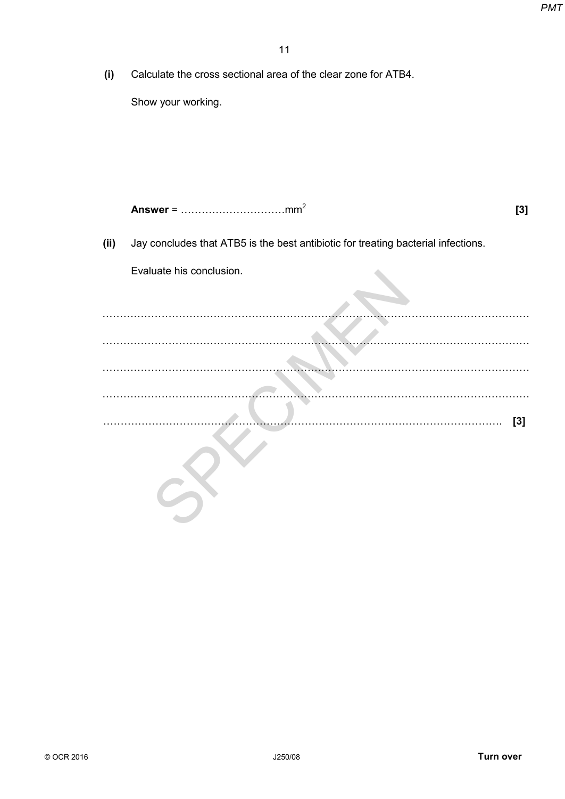**(i)** Calculate the cross sectional area of the clear zone for ATB4.

Show your working.

**Answer** = …………………………mm<sup>2</sup>

**[3]**

**(ii)** Jay concludes that ATB5 is the best antibiotic for treating bacterial infections.

Evaluate his conclusion.

…………………………………………………………………………………………………………… …………………………………………………………………………………………………………… …………………………………………………………………………………………………………… …………………………………………………………………………………………………………… ……………………………………………………………………………………………………. **[3]** SPECIMEN *PMT*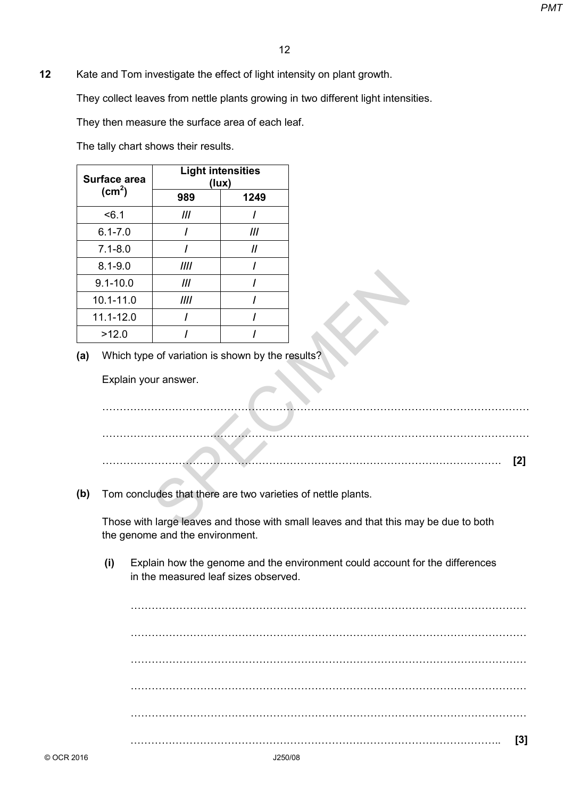**12** Kate and Tom investigate the effect of light intensity on plant growth.

They collect leaves from nettle plants growing in two different light intensities.

They then measure the surface area of each leaf.

The tally chart shows their results.

| Surface area       | <b>Light intensities</b><br>(lux) |      |  |
|--------------------|-----------------------------------|------|--|
| (cm <sup>2</sup> ) | 989                               | 1249 |  |
| < 6.1              | Ш                                 |      |  |
| $6.1 - 7.0$        |                                   | III  |  |
| $7.1 - 8.0$        |                                   | 11   |  |
| $8.1 - 9.0$        | III                               |      |  |
| $9.1 - 10.0$       | III                               |      |  |
| 10.1-11.0          | III                               |      |  |
| 11.1-12.0          |                                   |      |  |
| >12.0              |                                   |      |  |

**(a)** Which type of variation is shown by the results?

|                      |                                 | 12                                                                                   |
|----------------------|---------------------------------|--------------------------------------------------------------------------------------|
|                      |                                 | and Tom investigate the effect of light intensity on plant growth.                   |
|                      |                                 | collect leaves from nettle plants growing in two different light intensities.        |
|                      |                                 | then measure the surface area of each leaf.                                          |
|                      | ally chart shows their results. |                                                                                      |
|                      |                                 |                                                                                      |
| face area            |                                 | <b>Light intensities</b><br>(lux)                                                    |
| (cm <sup>2</sup> )   | 989                             | 1249                                                                                 |
| < 6.1                | III                             | $\prime$                                                                             |
| $6.1 - 7.0$          | $\prime$                        | III                                                                                  |
| $7.1 - 8.0$          | $\prime$                        | $\boldsymbol{\mathit{II}}$                                                           |
| $8.1 - 9.0$          | III                             | $\prime$                                                                             |
| $.1 - 10.0$          | III                             | $\prime$                                                                             |
| $0.1 - 11.0$         | III                             | $\prime$                                                                             |
| $1.1 - 12.0$         | I                               | $\prime$                                                                             |
| >12.0                |                                 |                                                                                      |
|                      |                                 | Which type of variation is shown by the results?                                     |
| Explain your answer. |                                 |                                                                                      |
|                      |                                 |                                                                                      |
|                      |                                 |                                                                                      |
|                      |                                 |                                                                                      |
|                      |                                 |                                                                                      |
|                      |                                 |                                                                                      |
|                      |                                 | Tom concludes that there are two varieties of nettle plants.                         |
|                      |                                 |                                                                                      |
|                      |                                 | Those with large leaves and those with small leaves and that this may be due to both |

**(b)** Tom concludes that there are two varieties of nettle plants.

Those with large leaves and those with small leaves and that this may be due to both the genome and the environment.

**(i)** Explain how the genome and the environment could account for the differences in the measured leaf sizes observed.

|  |  |  |  | [3] |
|--|--|--|--|-----|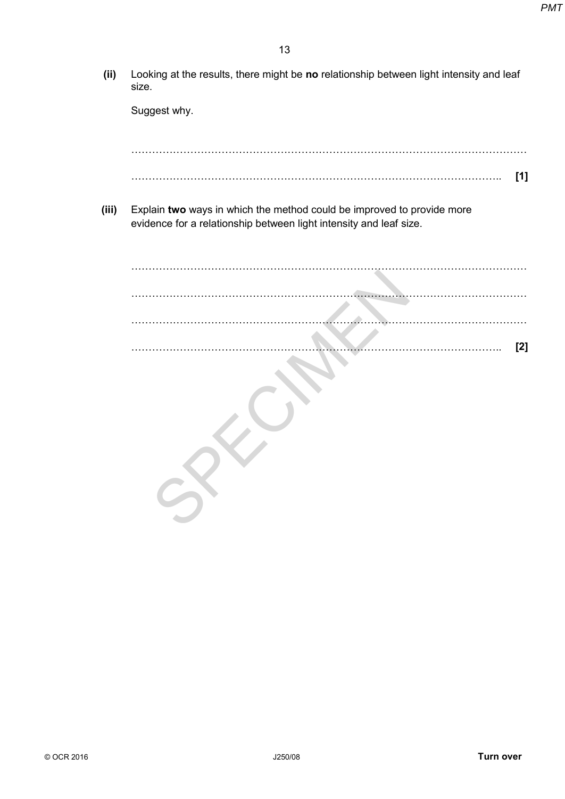**(ii)** Looking at the results, there might be **no** relationship between light intensity and leaf size.

**(iii)** Explain **two** ways in which the method could be improved to provide more evidence for a relationship between light intensity and leaf size.

|                                                                                                                                              | PM1 |
|----------------------------------------------------------------------------------------------------------------------------------------------|-----|
| 13                                                                                                                                           |     |
|                                                                                                                                              |     |
| Looking at the results, there might be no relationship between light intensity and leaf<br>size.                                             |     |
| Suggest why.                                                                                                                                 |     |
|                                                                                                                                              |     |
| $[1]$                                                                                                                                        |     |
| Explain two ways in which the method could be improved to provide more<br>evidence for a relationship between light intensity and leaf size. |     |
|                                                                                                                                              |     |
|                                                                                                                                              |     |
|                                                                                                                                              |     |
| $[2]$                                                                                                                                        |     |
|                                                                                                                                              |     |
|                                                                                                                                              |     |
| $\mathcal{S}$                                                                                                                                |     |
|                                                                                                                                              |     |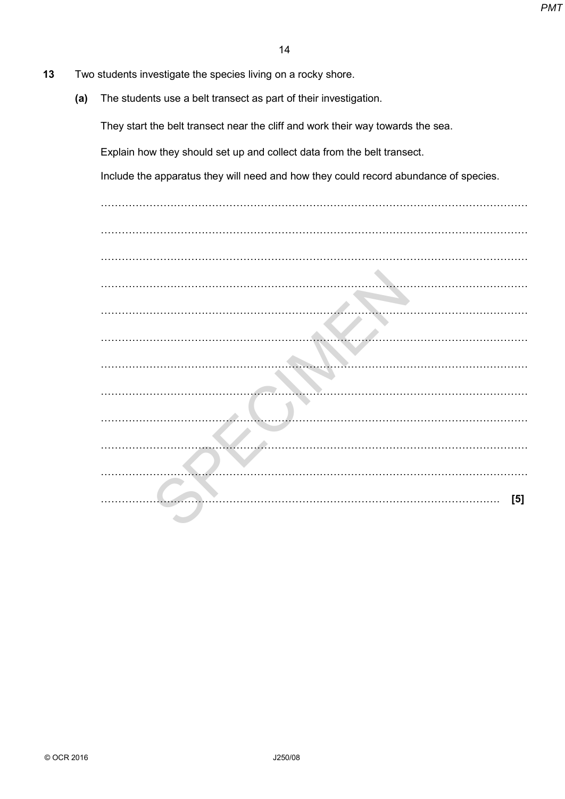- **13** Two students investigate the species living on a rocky shore.
	- **(a)** The students use a belt transect as part of their investigation.

|                                                                                      | <b>PM1</b> |
|--------------------------------------------------------------------------------------|------------|
| 14                                                                                   |            |
| students investigate the species living on a rocky shore.                            |            |
| The students use a belt transect as part of their investigation.                     |            |
| They start the belt transect near the cliff and work their way towards the sea.      |            |
| Explain how they should set up and collect data from the belt transect.              |            |
| Include the apparatus they will need and how they could record abundance of species. |            |
|                                                                                      |            |
|                                                                                      |            |
|                                                                                      |            |
|                                                                                      |            |
|                                                                                      |            |
|                                                                                      |            |
|                                                                                      |            |
|                                                                                      |            |
|                                                                                      |            |
|                                                                                      |            |
|                                                                                      |            |
|                                                                                      |            |
| [5]                                                                                  |            |
|                                                                                      |            |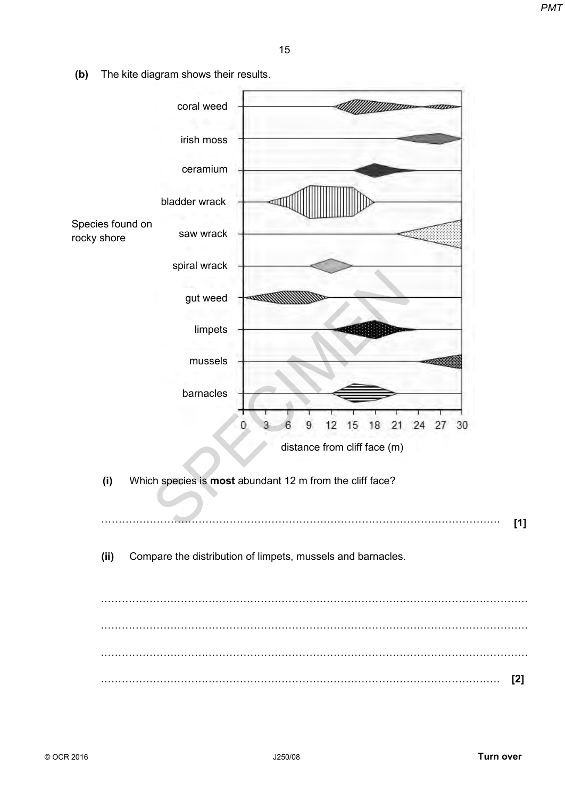**(b)** The kite diagram shows their results.

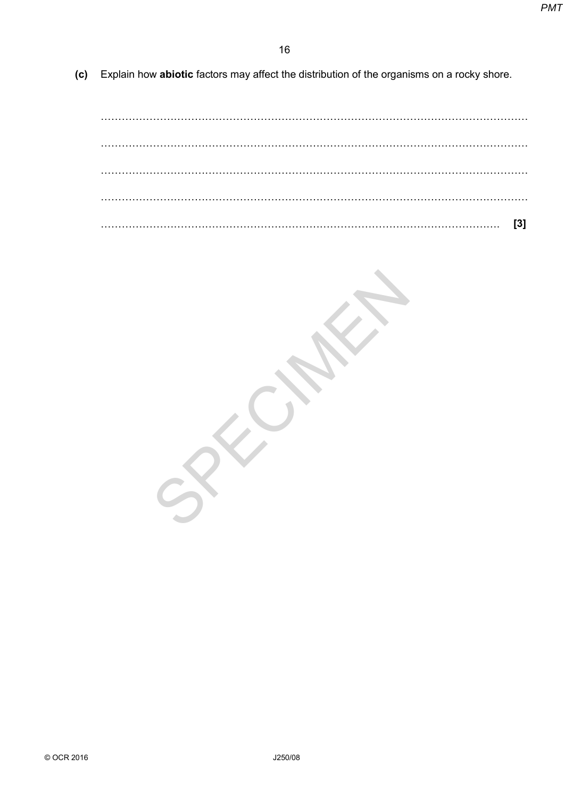**(c)** Explain how **abiotic** factors may affect the distribution of the organisms on a rocky shore.

…………………………………………………………………………………………………………… …………………………………………………………………………………………………………… …………………………………………………………………………………………………………… …………………………………………………………………………………………………………… ……………………………………………………………………………………………………. **[3]**

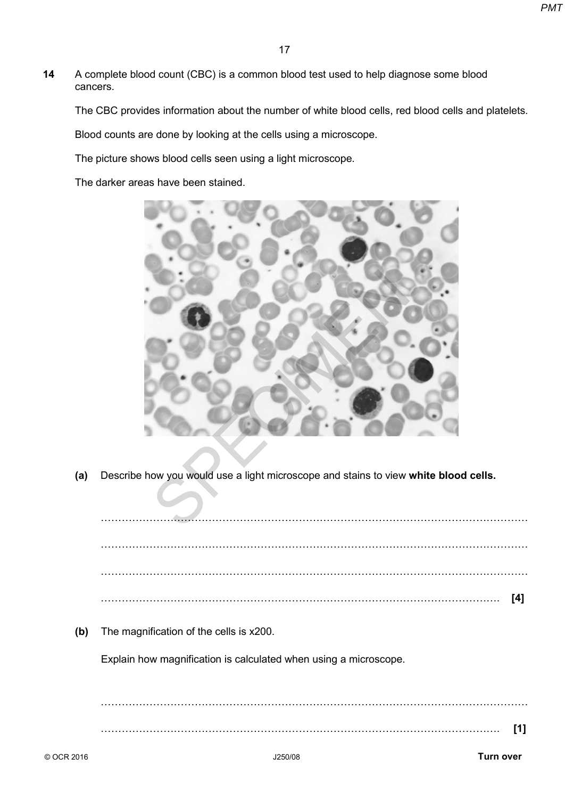**14** A complete blood count (CBC) is a common blood test used to help diagnose some blood cancers.

The CBC provides information about the number of white blood cells, red blood cells and platelets.

Blood counts are done by looking at the cells using a microscope.

The picture shows blood cells seen using a light microscope.

The darker areas have been stained.



**(a)** Describe how you would use a light microscope and stains to view **white blood cells.**

|     |                                                                  | [4] |
|-----|------------------------------------------------------------------|-----|
| (b) | The magnification of the cells is x200.                          |     |
|     | Explain how magnification is calculated when using a microscope. |     |
|     |                                                                  |     |
|     |                                                                  |     |
|     |                                                                  | [1] |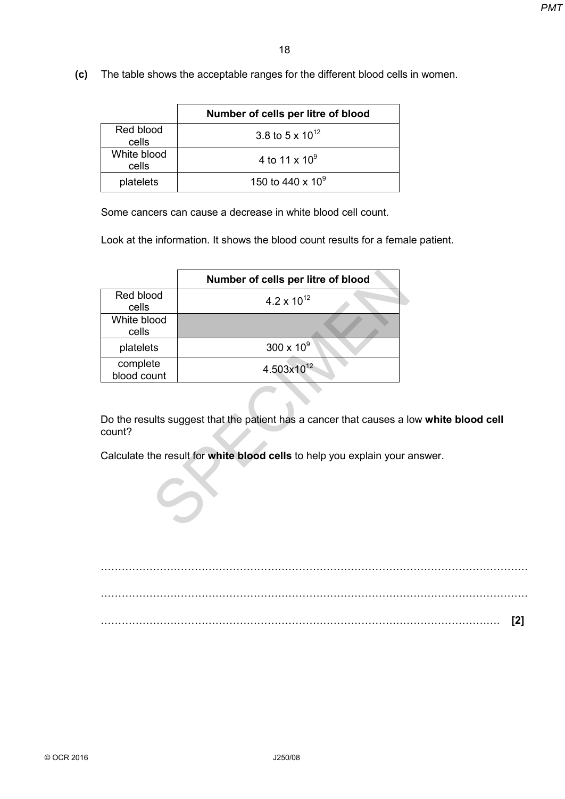**(c)** The table shows the acceptable ranges for the different blood cells in women.

|                      | Number of cells per litre of blood |
|----------------------|------------------------------------|
| Red blood<br>cells   | 3.8 to 5 x $10^{12}$               |
| White blood<br>cells | 4 to 11 x $10^9$                   |
| platelets            | 150 to 440 x $10^9$                |

|                         |                                                                                                                                                                        | PM1 |
|-------------------------|------------------------------------------------------------------------------------------------------------------------------------------------------------------------|-----|
|                         |                                                                                                                                                                        |     |
|                         | 18                                                                                                                                                                     |     |
|                         | The table shows the acceptable ranges for the different blood cells in women.                                                                                          |     |
|                         |                                                                                                                                                                        |     |
|                         | Number of cells per litre of blood                                                                                                                                     |     |
| Red blood<br>cells      | 3.8 to 5 x $10^{12}$                                                                                                                                                   |     |
| White blood<br>cells    | 4 to 11 x $10^9$                                                                                                                                                       |     |
| platelets               | 150 to 440 x 10 <sup>9</sup>                                                                                                                                           |     |
|                         | Some cancers can cause a decrease in white blood cell count.<br>Look at the information. It shows the blood count results for a female patient.                        |     |
|                         | Number of cells per litre of blood                                                                                                                                     |     |
| Red blood<br>cells      | $4.2 \times 10^{12}$                                                                                                                                                   |     |
| White blood<br>cells    |                                                                                                                                                                        |     |
| platelets               | $300 \times 10^{9}$                                                                                                                                                    |     |
| complete<br>blood count | 4.503x10 <sup>12</sup>                                                                                                                                                 |     |
| count?                  | Do the results suggest that the patient has a cancer that causes a low white blood cell<br>Calculate the result for white blood cells to help you explain your answer. |     |

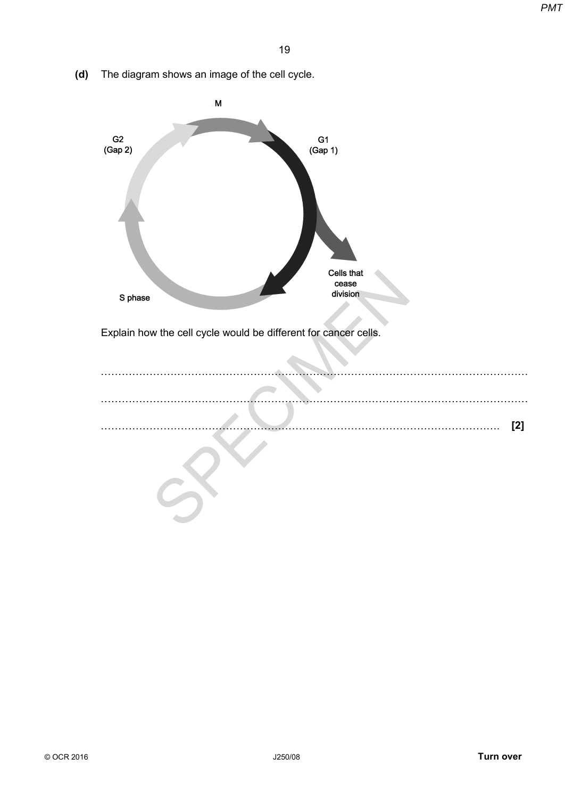**(d)** The diagram shows an image of the cell cycle.

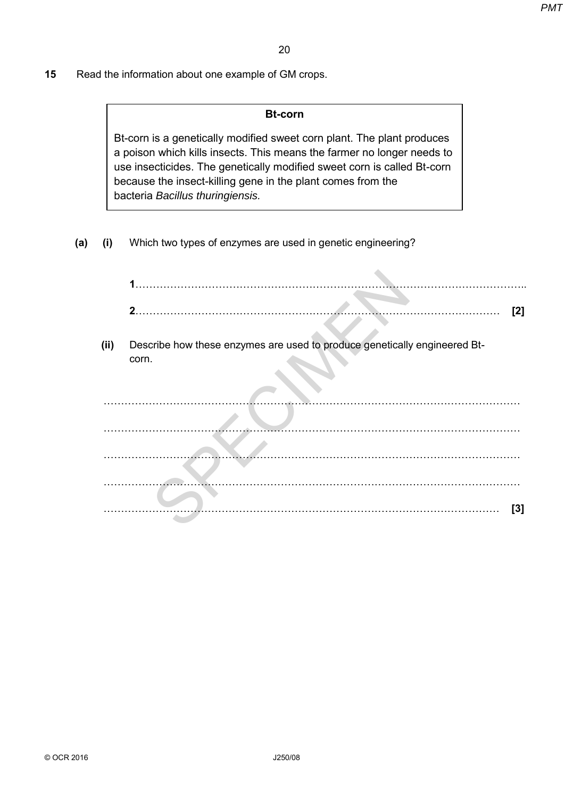**15** Read the information about one example of GM crops.

#### **Bt-corn**

**(a) (i)** Which two types of enzymes are used in genetic engineering?

|      |                                                                                                                                                                                                                                                                                                                                | PM1 |
|------|--------------------------------------------------------------------------------------------------------------------------------------------------------------------------------------------------------------------------------------------------------------------------------------------------------------------------------|-----|
|      | 20                                                                                                                                                                                                                                                                                                                             |     |
|      | I the information about one example of GM crops.                                                                                                                                                                                                                                                                               |     |
|      | <b>Bt-corn</b>                                                                                                                                                                                                                                                                                                                 |     |
|      | Bt-corn is a genetically modified sweet corn plant. The plant produces<br>a poison which kills insects. This means the farmer no longer needs to<br>use insecticides. The genetically modified sweet corn is called Bt-corn<br>because the insect-killing gene in the plant comes from the<br>bacteria Bacillus thuringiensis. |     |
| (i)  | Which two types of enzymes are used in genetic engineering?                                                                                                                                                                                                                                                                    |     |
|      | $\mathbf 1$                                                                                                                                                                                                                                                                                                                    | [2] |
| (ii) | Describe how these enzymes are used to produce genetically engineered Bt-<br>corn.                                                                                                                                                                                                                                             |     |
|      |                                                                                                                                                                                                                                                                                                                                |     |
|      |                                                                                                                                                                                                                                                                                                                                |     |
|      |                                                                                                                                                                                                                                                                                                                                | [3] |